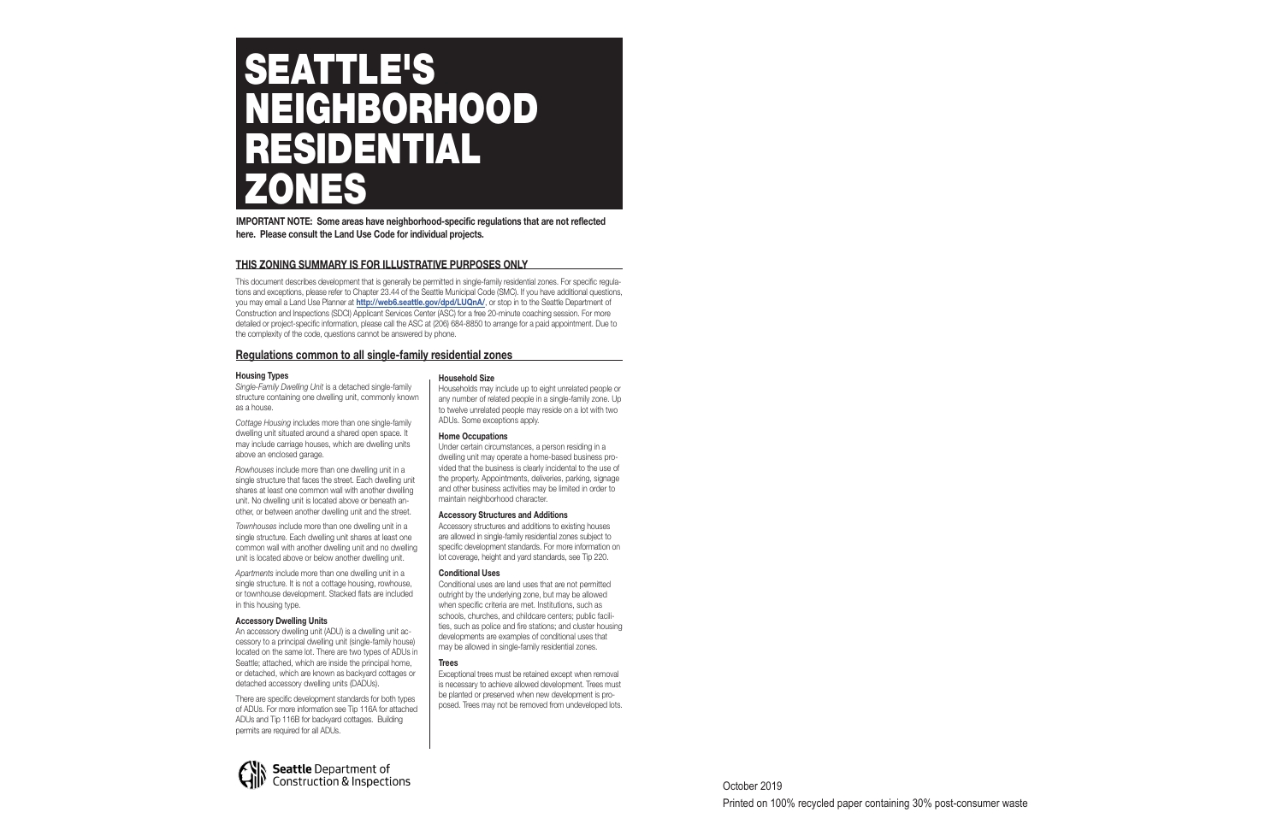## **THIS ZONING SUMMARY IS FOR ILLUSTRATIVE PURPOSES ONLY**

This document describes development that is generally be permitted in single-family residential zones. For specific regulations and exceptions, please refer to Chapter 23.44 of the Seattle Municipal Code (SMC). If you have additional questions, you may email a Land Use Planner at **http://web6.seattle.gov/dpd/LUQnA/**, or stop in to the Seattle Department of Construction and Inspections (SDCI) Applicant Services Center (ASC) for a free 20-minute coaching session. For more detailed or project-specific information, please call the ASC at (206) 684-8850 to arrange for a paid appointment. Due to the complexity of the code, questions cannot be answered by phone.

# SEATTLE'S NEIGHBORHOOD RESIDENTIAL ZONES

## **Regulations common to all single-family residential zones**

## **Housing Types**

*Single-Family Dwelling Unit* is a detached single-family structure containing one dwelling unit, commonly known as a house.

*Cottage Housing* includes more than one single-family dwelling unit situated around a shared open space. It may include carriage houses, which are dwelling units above an enclosed garage.

*Rowhouses* include more than one dwelling unit in a single structure that faces the street. Each dwelling unit shares at least one common wall with another dwelling unit. No dwelling unit is located above or beneath another, or between another dwelling unit and the street.

*Townhouses* include more than one dwelling unit in a single structure. Each dwelling unit shares at least one common wall with another dwelling unit and no dwelling unit is located above or below another dwelling unit.

*Apartments* include more than one dwelling unit in a single structure. It is not a cottage housing, rowhouse, or townhouse development. Stacked flats are included in this housing type.

## **Accessory Dwelling Units**

An accessory dwelling unit (ADU) is a dwelling unit accessory to a principal dwelling unit (single-family house) located on the same lot. There are two types of ADUs in Seattle; attached, which are inside the principal home, or detached, which are known as backyard cottages or detached accessory dwelling units (DADUs).

There are specific development standards for both types of ADUs. For more information see Tip 116A for attached ADUs and Tip 116B for backyard cottages. Building permits are required for all ADUs.



## **Household Size**

Households may include up to eight unrelated people or any number of related people in a single-family zone. Up to twelve unrelated people may reside on a lot with two ADUs. Some exceptions apply.

## **Home Occupations**

Under certain circumstances, a person residing in a dwelling unit may operate a home-based business provided that the business is clearly incidental to the use of the property. Appointments, deliveries, parking, signage and other business activities may be limited in order to maintain neighborhood character.

## **Accessory Structures and Additions**

Accessory structures and additions to existing houses are allowed in single-family residential zones subject to specific development standards. For more information on lot coverage, height and yard standards, see Tip 220.

## **Conditional Uses**

Conditional uses are land uses that are not permitted outright by the underlying zone, but may be allowed when specific criteria are met. Institutions, such as schools, churches, and childcare centers; public facilities, such as police and fire stations; and cluster housing developments are examples of conditional uses that may be allowed in single-family residential zones.

## **Trees**

Exceptional trees must be retained except when removal is necessary to achieve allowed development. Trees must be planted or preserved when new development is proposed. Trees may not be removed from undeveloped lots.

**IMPORTANT NOTE: Some areas have neighborhood-specific regulations that are not reflected here. Please consult the Land Use Code for individual projects.**